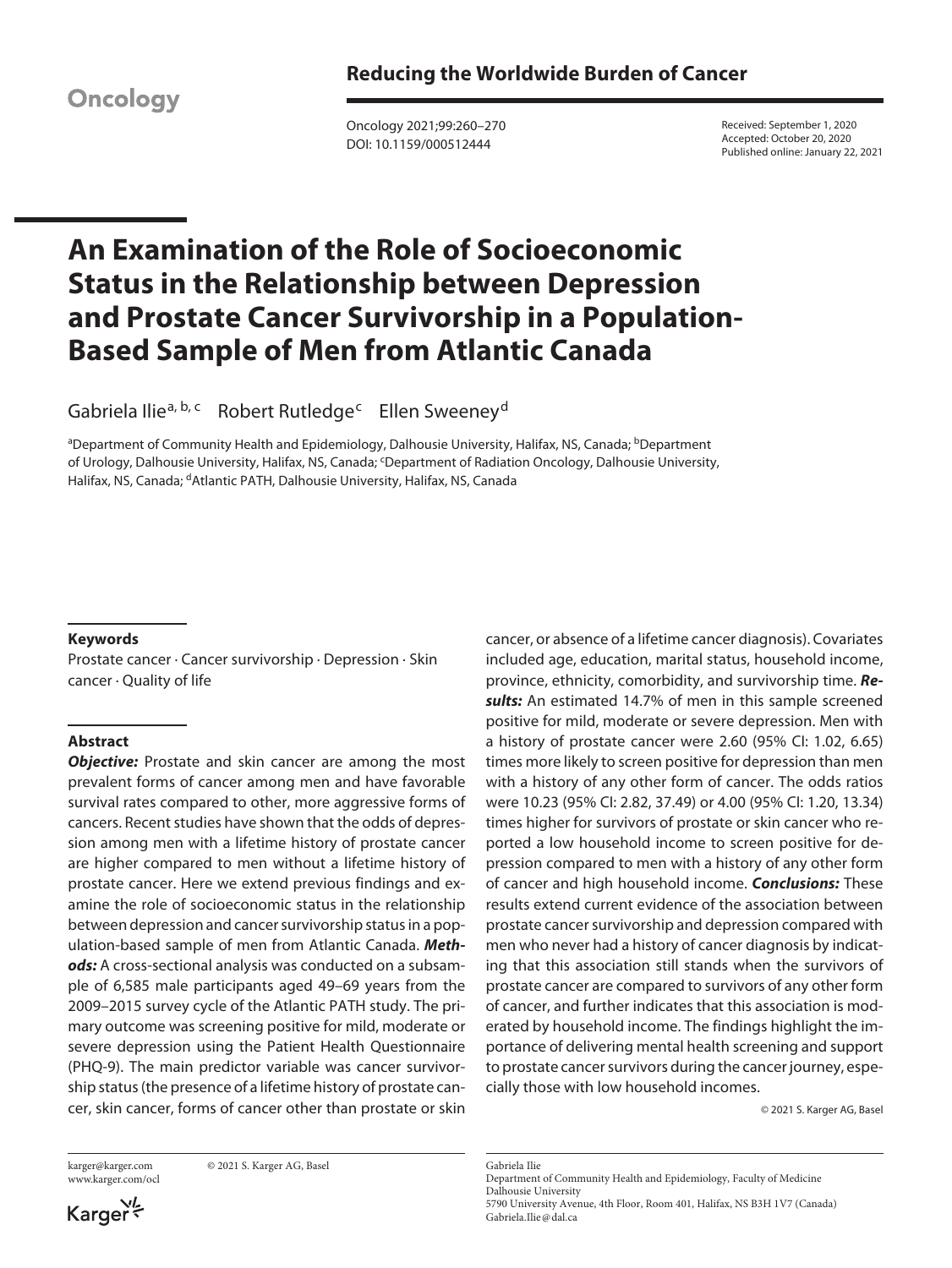**Oncology** 

Oncology 2021;99:260–270 DOI: 10.1159/000512444

Received: September 1, 2020 Accepted: October 20, 2020 Published online: January 22, 2021

# **An Examination of the Role of Socioeconomic Status in the Relationship between Depression and Prostate Cancer Survivorship in a Population-Based Sample of Men from Atlantic Canada**

Gabriela Ilie<sup>a, b, c</sup> Robert Rutledge<sup>c</sup> Ellen Sweeney<sup>d</sup>

<sup>a</sup>Department of Community Health and Epidemiology, Dalhousie University, Halifax, NS, Canada; <sup>b</sup>Department of Urology, Dalhousie University, Halifax, NS, Canada; 'Department of Radiation Oncology, Dalhousie University, Halifax, NS, Canada; <sup>d</sup>Atlantic PATH, Dalhousie University, Halifax, NS, Canada

# **Keywords**

Prostate cancer · Cancer survivorship · Depression · Skin cancer · Quality of life

# **Abstract**

**Objective:** Prostate and skin cancer are among the most prevalent forms of cancer among men and have favorable survival rates compared to other, more aggressive forms of cancers. Recent studies have shown that the odds of depression among men with a lifetime history of prostate cancer are higher compared to men without a lifetime history of prostate cancer. Here we extend previous findings and examine the role of socioeconomic status in the relationship between depression and cancer survivorship status in a population-based sample of men from Atlantic Canada. *Methods:* A cross-sectional analysis was conducted on a subsample of 6,585 male participants aged 49–69 years from the 2009–2015 survey cycle of the Atlantic PATH study. The primary outcome was screening positive for mild, moderate or severe depression using the Patient Health Questionnaire (PHQ-9). The main predictor variable was cancer survivorship status (the presence of a lifetime history of prostate cancer, skin cancer, forms of cancer other than prostate or skin

www.karger.com/ocl

karger@karger.com © 2021 S. Karger AG, Basel

Karger

cancer, or absence of a lifetime cancer diagnosis). Covariates included age, education, marital status, household income, province, ethnicity, comorbidity, and survivorship time. *Results:* An estimated 14.7% of men in this sample screened positive for mild, moderate or severe depression. Men with a history of prostate cancer were 2.60 (95% CI: 1.02, 6.65) times more likely to screen positive for depression than men with a history of any other form of cancer. The odds ratios were 10.23 (95% CI: 2.82, 37.49) or 4.00 (95% CI: 1.20, 13.34) times higher for survivors of prostate or skin cancer who reported a low household income to screen positive for depression compared to men with a history of any other form of cancer and high household income. *Conclusions:* These results extend current evidence of the association between prostate cancer survivorship and depression compared with men who never had a history of cancer diagnosis by indicating that this association still stands when the survivors of prostate cancer are compared to survivors of any other form of cancer, and further indicates that this association is moderated by household income. The findings highlight the importance of delivering mental health screening and support to prostate cancer survivors during the cancer journey, especially those with low household incomes.

© 2021 S. Karger AG, Basel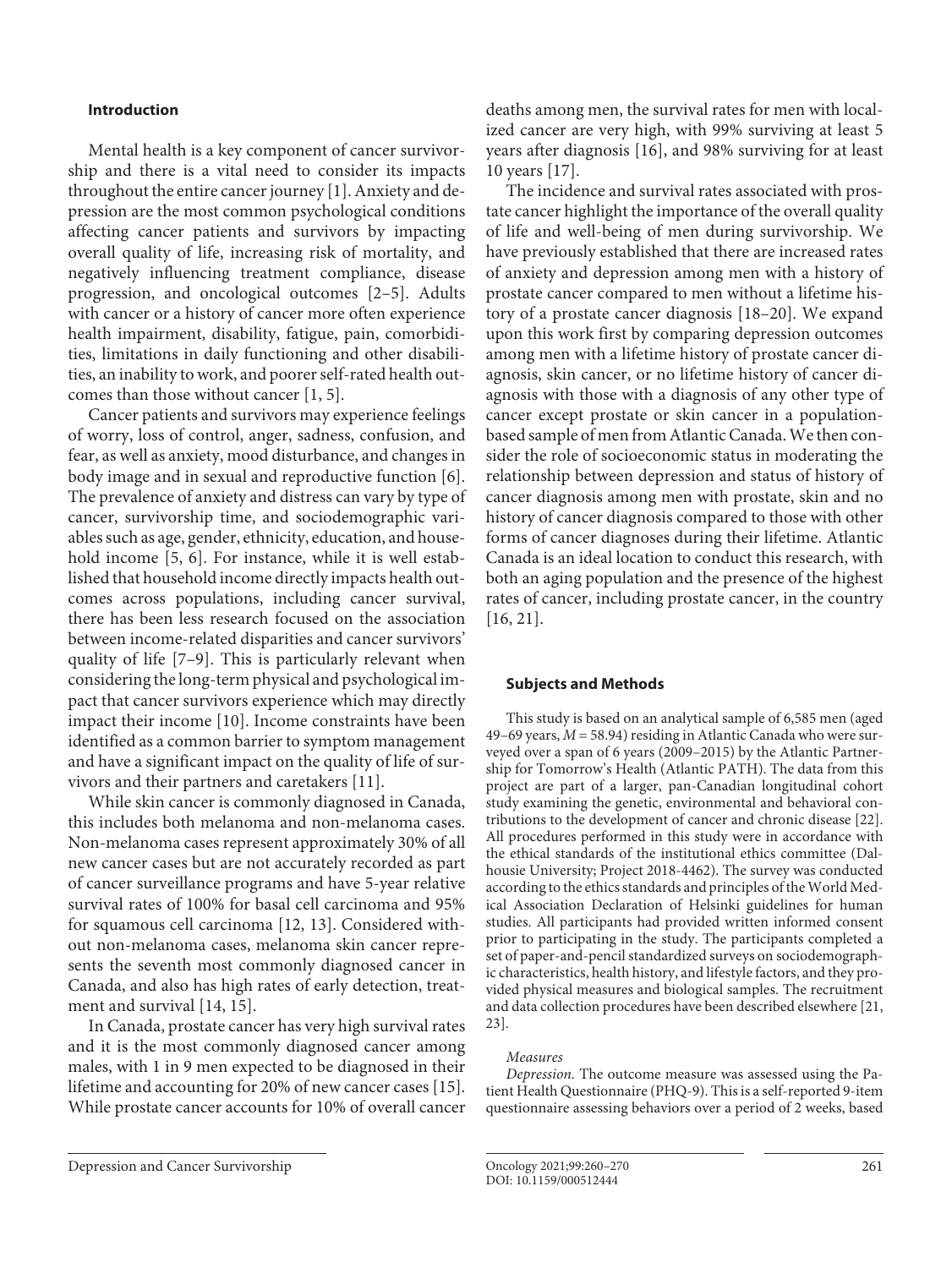## **Introduction**

<span id="page-1-0"></span>Mental health is a key component of cancer survivorship and there is a vital need to consider its impacts throughout the entire cancer journey [\[1\]](#page-9-0). Anxiety and depression are the most common psychological conditions affecting cancer patients and survivors by impacting overall quality of life, increasing risk of mortality, and negatively influencing treatment compliance, disease progression, and oncological outcomes [[2–](#page-9-1)[5\]](#page-9-2). Adults with cancer or a history of cancer more often experience health impairment, disability, fatigue, pain, comorbidities, limitations in daily functioning and other disabilities, an inability to work, and poorer self-rated health outcomes than those without cancer [[1](#page-9-0), [5](#page-9-2)].

<span id="page-1-2"></span><span id="page-1-1"></span>Cancer patients and survivors may experience feelings of worry, loss of control, anger, sadness, confusion, and fear, as well as anxiety, mood disturbance, and changes in body image and in sexual and reproductive function [[6\]](#page-9-3). The prevalence of anxiety and distress can vary by type of cancer, survivorship time, and sociodemographic variables such as age, gender, ethnicity, education, and household income [[5,](#page-9-2) [6](#page-9-3)]. For instance, while it is well established that household income directly impacts health outcomes across populations, including cancer survival, there has been less research focused on the association between income-related disparities and cancer survivors' quality of life [\[7–](#page-9-4)[9\]](#page-9-5). This is particularly relevant when considering the long-term physical and psychological impact that cancer survivors experience which may directly impact their income [\[1](#page-9-0)0]. Income constraints have been identified as a common barrier to symptom management and have a significant impact on the quality of life of survivors and their partners and caretakers [[11](#page-9-0)].

<span id="page-1-5"></span><span id="page-1-4"></span><span id="page-1-3"></span>While skin cancer is commonly diagnosed in Canada, this includes both melanoma and non-melanoma cases. Non-melanoma cases represent approximately 30% of all new cancer cases but are not accurately recorded as part of cancer surveillance programs and have 5-year relative survival rates of 100% for basal cell carcinoma and 95% for squamous cell carcinoma [[1](#page-9-0)[2](#page-9-1), [1](#page-9-0)[3](#page-9-6)]. Considered without non-melanoma cases, melanoma skin cancer represents the seventh most commonly diagnosed cancer in Canada, and also has high rates of early detection, treatment and survival [\[1](#page-9-0)[4,](#page-9-7) [1](#page-9-0)[5](#page-9-2)].

<span id="page-1-7"></span><span id="page-1-6"></span>In Canada, prostate cancer has very high survival rates and it is the most commonly diagnosed cancer among males, with 1 in 9 men expected to be diagnosed in their lifetime and accounting for 20% of new cancer cases [\[1](#page-9-0)[5\]](#page-9-2). While prostate cancer accounts for 10% of overall cancer

<span id="page-1-8"></span>deaths among men, the survival rates for men with localized cancer are very high, with 99% surviving at least 5 years after diagnosis [[1](#page-9-0)[6](#page-9-3)], and 98% surviving for at least 10 years [\[1](#page-9-0)[7\]](#page-9-4).

<span id="page-1-10"></span><span id="page-1-9"></span>The incidence and survival rates associated with prostate cancer highlight the importance of the overall quality of life and well-being of men during survivorship. We have previously established that there are increased rates of anxiety and depression among men with a history of prostate cancer compared to men without a lifetime history of a prostate cancer diagnosis [\[1](#page-9-0)[8–](#page-9-8)[20](#page-9-1)]. We expand upon this work first by comparing depression outcomes among men with a lifetime history of prostate cancer diagnosis, skin cancer, or no lifetime history of cancer diagnosis with those with a diagnosis of any other type of cancer except prostate or skin cancer in a populationbased sample of men from Atlantic Canada. We then consider the role of socioeconomic status in moderating the relationship between depression and status of history of cancer diagnosis among men with prostate, skin and no history of cancer diagnosis compared to those with other forms of cancer diagnoses during their lifetime. Atlantic Canada is an ideal location to conduct this research, with both an aging population and the presence of the highest rates of cancer, including prostate cancer, in the country [[1](#page-9-0)[6](#page-9-3), [2](#page-9-1)[1\]](#page-9-0).

### <span id="page-1-11"></span>**Subjects and Methods**

<span id="page-1-12"></span>This study is based on an analytical sample of 6,585 men (aged 49–69 years, *M* = 58.94) residing in Atlantic Canada who were surveyed over a span of 6 years (2009–2015) by the Atlantic Partnership for Tomorrow's Health (Atlantic PATH). The data from this project are part of a larger, pan-Canadian longitudinal cohort study examining the genetic, environmental and behavioral contributions to the development of cancer and chronic disease [\[22](#page-9-1)]. All procedures performed in this study were in accordance with the ethical standards of the institutional ethics committee (Dalhousie University; Project 2018-4462). The survey was conducted according to the ethics standards and principles of the World Medical Association Declaration of Helsinki guidelines for human studies. All participants had provided written informed consent prior to participating in the study. The participants completed a set of paper-and-pencil standardized surveys on sociodemographic characteristics, health history, and lifestyle factors, and they provided physical measures and biological samples. The recruitment and data collection procedures have been described elsewhere [\[2](#page-9-1)[1,](#page-9-0) [2](#page-9-1)[3](#page-9-6)].

#### <span id="page-1-13"></span>*Measures*

*Depression.* The outcome measure was assessed using the Patient Health Questionnaire (PHQ-9). This is a self-reported 9-item questionnaire assessing behaviors over a period of 2 weeks, based

Depression and Cancer Survivorship Oncology 2021;99:260–270 261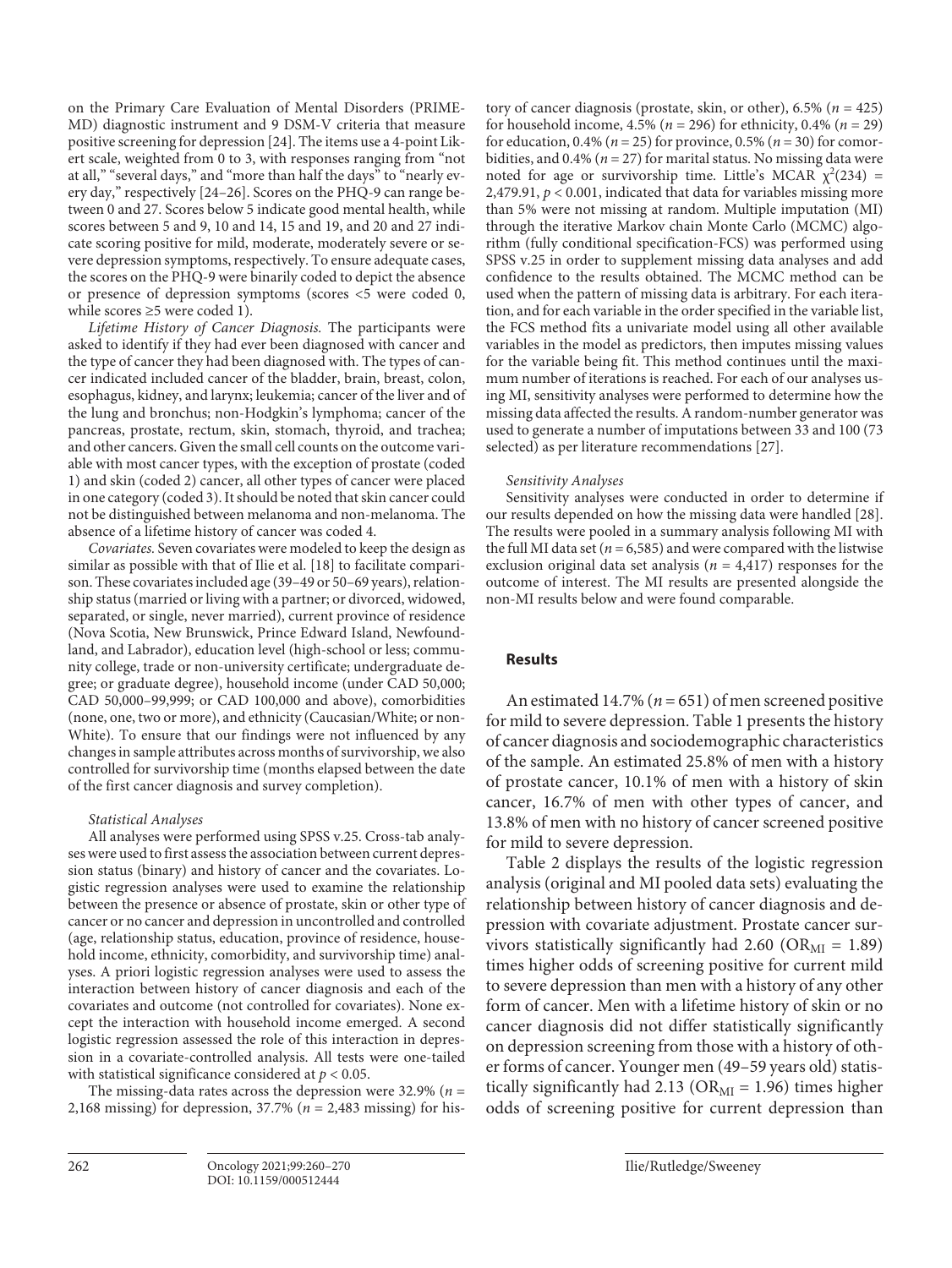<span id="page-2-1"></span><span id="page-2-0"></span>on the Primary Care Evaluation of Mental Disorders (PRIME-MD) diagnostic instrument and 9 DSM-V criteria that measure positive screening for depression [[2](#page-9-1)[4\]](#page-9-7). The items use a 4-point Likert scale, weighted from 0 to 3, with responses ranging from "not at all," "several days," and "more than half the days" to "nearly every day," respectively [[2](#page-9-1)[4–](#page-9-7)[2](#page-9-1)[6](#page-9-3)]. Scores on the PHQ-9 can range between 0 and 27. Scores below 5 indicate good mental health, while scores between 5 and 9, 10 and 14, 15 and 19, and 20 and 27 indicate scoring positive for mild, moderate, moderately severe or severe depression symptoms, respectively. To ensure adequate cases, the scores on the PHQ-9 were binarily coded to depict the absence or presence of depression symptoms (scores <5 were coded 0, while scores ≥5 were coded 1).

*Lifetime History of Cancer Diagnosis.* The participants were asked to identify if they had ever been diagnosed with cancer and the type of cancer they had been diagnosed with. The types of cancer indicated included cancer of the bladder, brain, breast, colon, esophagus, kidney, and larynx; leukemia; cancer of the liver and of the lung and bronchus; non-Hodgkin's lymphoma; cancer of the pancreas, prostate, rectum, skin, stomach, thyroid, and trachea; and other cancers. Given the small cell counts on the outcome variable with most cancer types, with the exception of prostate (coded 1) and skin (coded 2) cancer, all other types of cancer were placed in one category (coded 3). It should be noted that skin cancer could not be distinguished between melanoma and non-melanoma. The absence of a lifetime history of cancer was coded 4.

*Covariates.* Seven covariates were modeled to keep the design as similar as possible with that of Ilie et al. [\[1](#page-9-0)[8](#page-9-8)] to facilitate comparison. These covariates included age (39–49 or 50–69 years), relationship status (married or living with a partner; or divorced, widowed, separated, or single, never married), current province of residence (Nova Scotia, New Brunswick, Prince Edward Island, Newfoundland, and Labrador), education level (high-school or less; community college, trade or non-university certificate; undergraduate degree; or graduate degree), household income (under CAD 50,000; CAD 50,000–99,999; or CAD 100,000 and above), comorbidities (none, one, two or more), and ethnicity (Caucasian/White; or non-White). To ensure that our findings were not influenced by any changes in sample attributes across months of survivorship, we also controlled for survivorship time (months elapsed between the date of the first cancer diagnosis and survey completion).

# *Statistical Analyses*

All analyses were performed using SPSS v.25. Cross-tab analyses were used to first assess the association between current depression status (binary) and history of cancer and the covariates. Logistic regression analyses were used to examine the relationship between the presence or absence of prostate, skin or other type of cancer or no cancer and depression in uncontrolled and controlled (age, relationship status, education, province of residence, household income, ethnicity, comorbidity, and survivorship time) analyses. A priori logistic regression analyses were used to assess the interaction between history of cancer diagnosis and each of the covariates and outcome (not controlled for covariates). None except the interaction with household income emerged. A second logistic regression assessed the role of this interaction in depression in a covariate-controlled analysis. All tests were one-tailed with statistical significance considered at *p* < 0.05.

The missing-data rates across the depression were 32.9% (*n* = 2,168 missing) for depression, 37.7% (*n* = 2,483 missing) for history of cancer diagnosis (prostate, skin, or other), 6.5% (*n* = 425) for household income, 4.5% (*n* = 296) for ethnicity, 0.4% (*n* = 29) for education, 0.4% (*n* = 25) for province, 0.5% (*n* = 30) for comorbidities, and  $0.4\%$  ( $n = 27$ ) for marital status. No missing data were noted for age or survivorship time. Little's MCAR  $\chi^2(234)$  = 2,479.91, *p* < 0.001, indicated that data for variables missing more than 5% were not missing at random. Multiple imputation (MI) through the iterative Markov chain Monte Carlo (MCMC) algorithm (fully conditional specification-FCS) was performed using SPSS v.25 in order to supplement missing data analyses and add confidence to the results obtained. The MCMC method can be used when the pattern of missing data is arbitrary. For each iteration, and for each variable in the order specified in the variable list, the FCS method fits a univariate model using all other available variables in the model as predictors, then imputes missing values for the variable being fit. This method continues until the maximum number of iterations is reached. For each of our analyses using MI, sensitivity analyses were performed to determine how the missing data affected the results. A random-number generator was used to generate a number of imputations between 33 and 100 (73 selected) as per literature recommendations [[2](#page-9-1)[7](#page-9-4)].

# <span id="page-2-2"></span>*Sensitivity Analyses*

<span id="page-2-3"></span>Sensitivity analyses were conducted in order to determine if our results depended on how the missing data were handled [\[2](#page-9-1)[8](#page-9-8)]. The results were pooled in a summary analysis following MI with the full MI data set ( $n = 6,585$ ) and were compared with the listwise exclusion original data set analysis ( $n = 4,417$ ) responses for the outcome of interest. The MI results are presented alongside the non-MI results below and were found comparable.

# **Results**

An estimated 14.7% (*n* = 651) of men screened positive for mild to severe depression. Table 1 presents the history of cancer diagnosis and sociodemographic characteristics of the sample. An estimated 25.8% of men with a history of prostate cancer, 10.1% of men with a history of skin cancer, 16.7% of men with other types of cancer, and 13.8% of men with no history of cancer screened positive for mild to severe depression.

Table 2 displays the results of the logistic regression analysis (original and MI pooled data sets) evaluating the relationship between history of cancer diagnosis and depression with covariate adjustment. Prostate cancer survivors statistically significantly had 2.60 ( $OR_{MI} = 1.89$ ) times higher odds of screening positive for current mild to severe depression than men with a history of any other form of cancer. Men with a lifetime history of skin or no cancer diagnosis did not differ statistically significantly on depression screening from those with a history of other forms of cancer. Younger men (49–59 years old) statistically significantly had 2.13 ( $OR_{MI} = 1.96$ ) times higher odds of screening positive for current depression than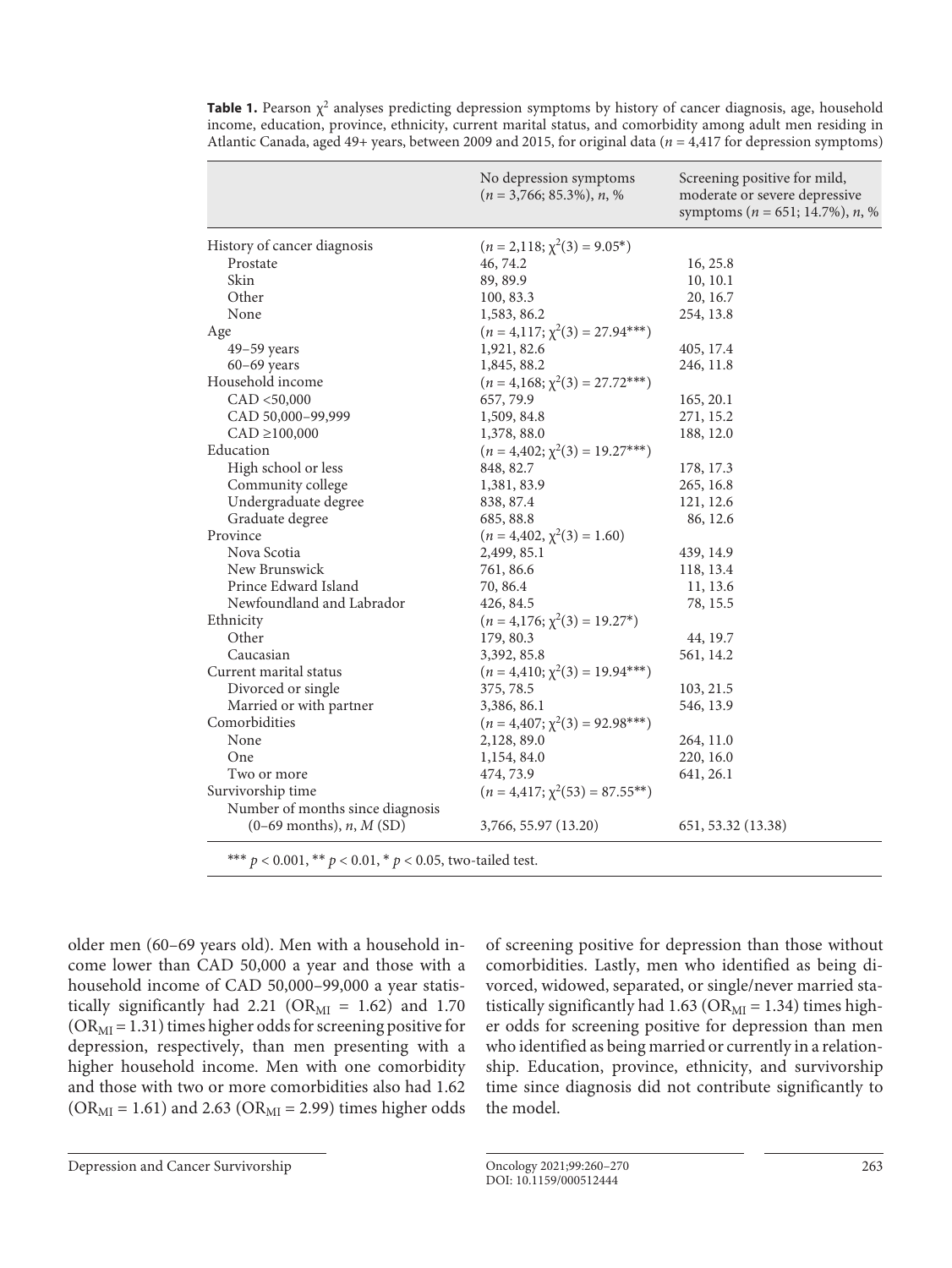|                                                                   | No depression symptoms<br>$(n = 3,766; 85.3\%), n, %$ | Screening positive for mild,<br>moderate or severe depressive<br>symptoms ( $n = 651$ ; 14.7%), $n$ , % |  |
|-------------------------------------------------------------------|-------------------------------------------------------|---------------------------------------------------------------------------------------------------------|--|
| History of cancer diagnosis                                       | $(n = 2,118; \chi^2(3) = 9.05^*)$                     |                                                                                                         |  |
| Prostate                                                          | 46, 74.2                                              | 16, 25.8                                                                                                |  |
| Skin                                                              | 89, 89.9                                              | 10, 10.1                                                                                                |  |
| Other                                                             | 100, 83.3                                             | 20, 16.7                                                                                                |  |
| None                                                              | 1,583, 86.2                                           | 254, 13.8                                                                                               |  |
| Age                                                               | $(n = 4.117; \chi^2(3) = 27.94***)$                   |                                                                                                         |  |
| $49-59$ years                                                     | 1,921, 82.6                                           | 405, 17.4                                                                                               |  |
| $60-69$ years                                                     | 1,845, 88.2                                           | 246, 11.8                                                                                               |  |
| Household income                                                  | $(n = 4.168; \chi^2(3) = 27.72***)$                   |                                                                                                         |  |
| CAD < 50,000                                                      | 657, 79.9                                             | 165, 20.1                                                                                               |  |
| CAD 50,000-99,999                                                 | 1,509, 84.8                                           | 271, 15.2                                                                                               |  |
| $CAD \ge 100,000$                                                 | 1,378, 88.0                                           | 188, 12.0                                                                                               |  |
| Education                                                         | $(n = 4,402; \chi^2(3) = 19.27***)$                   |                                                                                                         |  |
| High school or less                                               | 848, 82.7                                             | 178, 17.3                                                                                               |  |
| Community college                                                 | 1,381, 83.9                                           | 265, 16.8                                                                                               |  |
| Undergraduate degree                                              | 838, 87.4                                             | 121, 12.6                                                                                               |  |
| Graduate degree                                                   | 685, 88.8                                             | 86, 12.6                                                                                                |  |
| Province                                                          | $(n = 4,402, \chi^2(3) = 1.60)$                       |                                                                                                         |  |
| Nova Scotia                                                       | 2,499, 85.1                                           | 439, 14.9                                                                                               |  |
| New Brunswick                                                     | 761, 86.6                                             | 118, 13.4                                                                                               |  |
| Prince Edward Island                                              | 70, 86.4                                              | 11, 13.6                                                                                                |  |
| Newfoundland and Labrador                                         | 426, 84.5                                             | 78, 15.5                                                                                                |  |
| Ethnicity                                                         | $(n = 4.176; \chi^2(3) = 19.27^*)$                    |                                                                                                         |  |
| Other                                                             | 179, 80.3                                             | 44, 19.7                                                                                                |  |
| Caucasian                                                         | 3,392, 85.8                                           | 561, 14.2                                                                                               |  |
| Current marital status                                            | $(n = 4,410; \chi^2(3) = 19.94***)$                   |                                                                                                         |  |
| Divorced or single                                                | 375, 78.5                                             | 103, 21.5                                                                                               |  |
| Married or with partner                                           | 3,386, 86.1                                           | 546, 13.9                                                                                               |  |
| Comorbidities                                                     | $(n = 4,407; \chi^2(3) = 92.98***)$                   |                                                                                                         |  |
| None                                                              | 2,128,89.0                                            | 264, 11.0                                                                                               |  |
| One                                                               | 1,154, 84.0                                           | 220, 16.0                                                                                               |  |
| Two or more                                                       | 474, 73.9                                             | 641, 26.1                                                                                               |  |
| Survivorship time                                                 | $(n = 4, 417; \chi^2(53) = 87.55^{**})$               |                                                                                                         |  |
| Number of months since diagnosis                                  |                                                       |                                                                                                         |  |
| $(0-69$ months), <i>n</i> , <i>M</i> (SD)                         | 3,766, 55.97 (13.20)                                  | 651, 53.32 (13.38)                                                                                      |  |
| *** $p < 0.001$ , ** $p < 0.01$ , * $p < 0.05$ , two-tailed test. |                                                       |                                                                                                         |  |

**Table 1.** Pearson  $\chi^2$  analyses predicting depression symptoms by history of cancer diagnosis, age, household income, education, province, ethnicity, current marital status, and comorbidity among adult men residing in Atlantic Canada, aged 49+ years, between 2009 and 2015, for original data (*n* = 4,417 for depression symptoms)

older men (60–69 years old). Men with a household income lower than CAD 50,000 a year and those with a household income of CAD 50,000–99,000 a year statistically significantly had 2.21 ( $OR_{MI} = 1.62$ ) and 1.70  $(OR<sub>MI</sub> = 1.31)$  times higher odds for screening positive for depression, respectively, than men presenting with a higher household income. Men with one comorbidity and those with two or more comorbidities also had 1.62  $(OR_{MI} = 1.61)$  and 2.63 (OR<sub>MI</sub> = 2.99) times higher odds of screening positive for depression than those without comorbidities. Lastly, men who identified as being divorced, widowed, separated, or single/never married statistically significantly had 1.63 ( $OR_{MI} = 1.34$ ) times higher odds for screening positive for depression than men who identified as being married or currently in a relationship. Education, province, ethnicity, and survivorship time since diagnosis did not contribute significantly to the model.

Depression and Cancer Survivorship Oncology 2021;99:260–270 263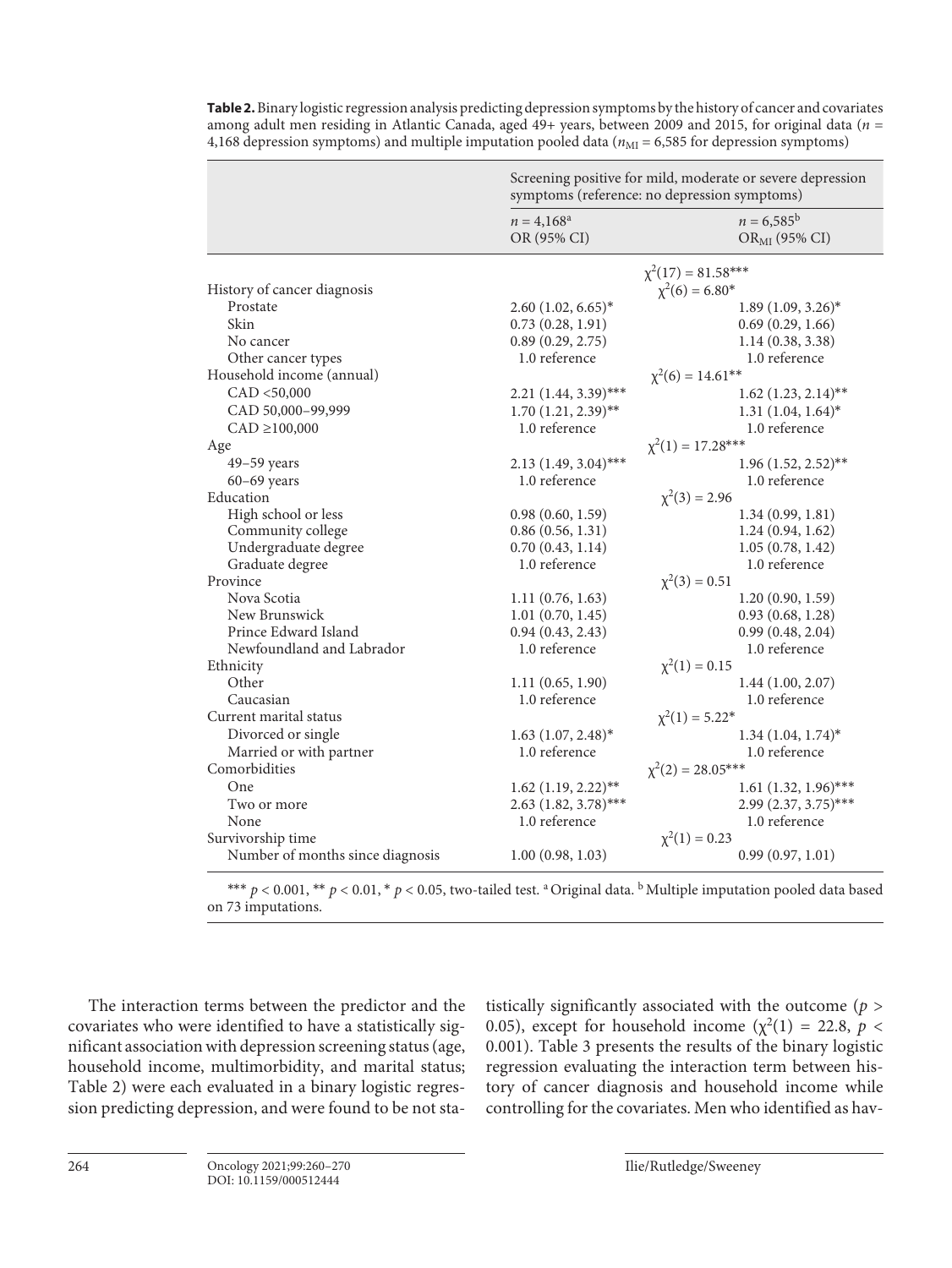|                                  | Screening positive for mild, moderate or severe depression<br>symptoms (reference: no depression symptoms) |                                           |  |
|----------------------------------|------------------------------------------------------------------------------------------------------------|-------------------------------------------|--|
|                                  | $n = 4,168^{\rm a}$<br>OR (95% CI)                                                                         | $n = 6,585^{\rm b}$<br>$OR_{MI}$ (95% CI) |  |
|                                  | $\chi^2(17) = 81.58***$                                                                                    |                                           |  |
| History of cancer diagnosis      | $\chi^2(6) = 6.80^*$                                                                                       |                                           |  |
| Prostate                         | $2.60$ $(1.02, 6.65)^*$                                                                                    | $1.89$ $(1.09, 3.26)^*$                   |  |
| Skin                             | 0.73(0.28, 1.91)                                                                                           | 0.69(0.29, 1.66)                          |  |
| No cancer                        | 0.89(0.29, 2.75)                                                                                           | 1.14(0.38, 3.38)                          |  |
| Other cancer types               | 1.0 reference                                                                                              | 1.0 reference                             |  |
| Household income (annual)        | $\chi^2(6) = 14.61**$                                                                                      |                                           |  |
| CAD < 50,000                     | 2.21 (1.44, 3.39)***                                                                                       | $1.62$ (1.23, 2.14) <sup>**</sup>         |  |
| CAD 50,000-99,999                | $1.70(1.21, 2.39)$ **                                                                                      | $1.31 (1.04, 1.64)^*$                     |  |
| $CAD \ge 100,000$                | 1.0 reference                                                                                              | 1.0 reference                             |  |
| Age                              | $\chi^2(1) = 17.28***$                                                                                     |                                           |  |
| $49-59$ years                    | $2.13(1.49, 3.04)$ ***                                                                                     | $1.96(1.52, 2.52)$ **                     |  |
| $60-69$ years                    | 1.0 reference                                                                                              | 1.0 reference                             |  |
| Education                        | $\chi^2(3) = 2.96$                                                                                         |                                           |  |
| High school or less              | 0.98(0.60, 1.59)                                                                                           | 1.34(0.99, 1.81)                          |  |
| Community college                | 0.86(0.56, 1.31)                                                                                           | 1.24(0.94, 1.62)                          |  |
| Undergraduate degree             | 0.70(0.43, 1.14)                                                                                           | 1.05(0.78, 1.42)                          |  |
| Graduate degree                  | 1.0 reference                                                                                              | 1.0 reference                             |  |
| Province                         | $\chi^2(3) = 0.51$                                                                                         |                                           |  |
| Nova Scotia                      | 1.11(0.76, 1.63)                                                                                           | 1.20(0.90, 1.59)                          |  |
| New Brunswick                    | 1.01(0.70, 1.45)                                                                                           | 0.93(0.68, 1.28)                          |  |
| Prince Edward Island             | 0.94(0.43, 2.43)                                                                                           | 0.99(0.48, 2.04)                          |  |
| Newfoundland and Labrador        | 1.0 reference                                                                                              | 1.0 reference                             |  |
| Ethnicity                        | $\chi^2(1) = 0.15$                                                                                         |                                           |  |
| Other                            | 1.11(0.65, 1.90)                                                                                           | 1.44(1.00, 2.07)                          |  |
| Caucasian                        | 1.0 reference                                                                                              | 1.0 reference                             |  |
| Current marital status           | $\chi^2(1) = 5.22^*$                                                                                       |                                           |  |
| Divorced or single               | $1.63$ $(1.07, 2.48)^*$                                                                                    | $1.34$ $(1.04, 1.74)^*$                   |  |
| Married or with partner          | 1.0 reference                                                                                              | 1.0 reference                             |  |
| Comorbidities                    | $\chi^2(2) = 28.05***$                                                                                     |                                           |  |
| One                              | $1.62$ (1.19, 2.22)**                                                                                      | $1.61$ (1.32, 1.96)***                    |  |
| Two or more                      | $2.63$ $(1.82, 3.78)$ ***                                                                                  | 2.99 (2.37, 3.75)***                      |  |
| None                             | 1.0 reference                                                                                              | 1.0 reference                             |  |
| Survivorship time                | $\chi^2(1) = 0.23$                                                                                         |                                           |  |
| Number of months since diagnosis | 1.00(0.98, 1.03)                                                                                           | 0.99(0.97, 1.01)                          |  |

**Table 2.** Binary logistic regression analysis predicting depression symptoms by the history of cancer and covariates among adult men residing in Atlantic Canada, aged 49+ years, between 2009 and 2015, for original data (*n* = 4,168 depression symptoms) and multiple imputation pooled data ( $n_{\text{MI}} = 6,585$  for depression symptoms)

\*\*\*  $p < 0.001$ , \*\*  $p < 0.01$ , \*  $p < 0.05$ , two-tailed test. <sup>a</sup> Original data. <sup>b</sup> Multiple imputation pooled data based on 73 imputations.

The interaction terms between the predictor and the covariates who were identified to have a statistically significant association with depression screening status (age, household income, multimorbidity, and marital status; Table 2) were each evaluated in a binary logistic regression predicting depression, and were found to be not statistically significantly associated with the outcome (*p* > 0.05), except for household income ( $\chi^2(1) = 22.8$ ,  $p <$ 0.001). Table 3 presents the results of the binary logistic regression evaluating the interaction term between history of cancer diagnosis and household income while controlling for the covariates. Men who identified as hav-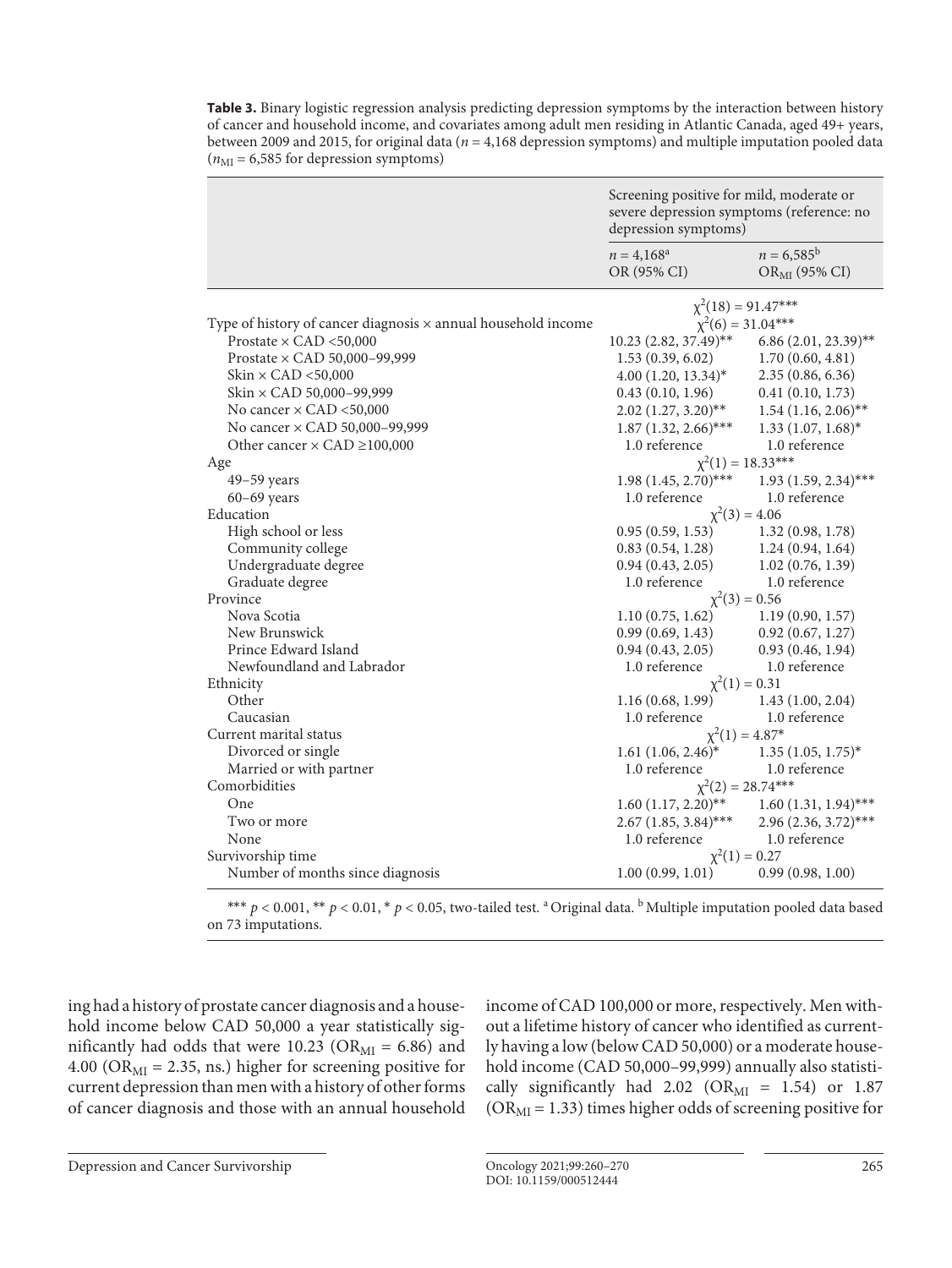**Table 3.** Binary logistic regression analysis predicting depression symptoms by the interaction between history of cancer and household income, and covariates among adult men residing in Atlantic Canada, aged 49+ years, between 2009 and 2015, for original data (*n* = 4,168 depression symptoms) and multiple imputation pooled data  $(n_{\text{MI}} = 6,585$  for depression symptoms)

|                                                                      | Screening positive for mild, moderate or<br>severe depression symptoms (reference: no<br>depression symptoms) |                                           |  |
|----------------------------------------------------------------------|---------------------------------------------------------------------------------------------------------------|-------------------------------------------|--|
|                                                                      | $n = 4,168^{\rm a}$<br>OR (95% CI)                                                                            | $n = 6,585^{\rm b}$<br>$OR_{MI}$ (95% CI) |  |
|                                                                      | $\chi^2(18) = 91.47***$                                                                                       |                                           |  |
| Type of history of cancer diagnosis $\times$ annual household income | $\chi^2(6) = 31.04***$                                                                                        |                                           |  |
| Prostate $\times$ CAD <50,000                                        | 10.23 (2.82, 37.49)**                                                                                         | $6.86(2.01, 23.39)$ **                    |  |
| Prostate $\times$ CAD 50,000-99,999                                  | 1.53(0.39, 6.02)                                                                                              | 1.70(0.60, 4.81)                          |  |
| Skin $\times$ CAD <50,000                                            | $4.00(1.20, 13.34)^*$                                                                                         | 2.35(0.86, 6.36)                          |  |
| Skin $\times$ CAD 50,000–99,999                                      | 0.43(0.10, 1.96)                                                                                              | 0.41(0.10, 1.73)                          |  |
| No cancer $\times$ CAD <50,000                                       | $2.02$ $(1.27, 3.20)$ <sup>**</sup>                                                                           | $1.54$ (1.16, 2.06)**                     |  |
| No cancer × CAD 50,000-99,999                                        | $1.87$ $(1.32, 2.66)$ ***                                                                                     | $1.33$ $(1.07, 1.68)^*$                   |  |
| Other cancer $\times$ CAD $\geq$ 100,000                             | 1.0 reference                                                                                                 | 1.0 reference                             |  |
| Age                                                                  | $\chi^2(1) = 18.33***$                                                                                        |                                           |  |
| 49-59 years                                                          | $1.98(1.45, 2.70)$ ***                                                                                        | $1.93$ $(1.59, 2.34)$ ***                 |  |
| $60-69$ years                                                        | 1.0 reference                                                                                                 | 1.0 reference                             |  |
| Education                                                            | $\chi^2(3) = 4.06$                                                                                            |                                           |  |
| High school or less                                                  | 0.95(0.59, 1.53)                                                                                              | 1.32(0.98, 1.78)                          |  |
| Community college                                                    | 0.83(0.54, 1.28)                                                                                              | 1.24(0.94, 1.64)                          |  |
| Undergraduate degree                                                 | $0.94(0.43, 2.05)$ $1.02(0.76, 1.39)$                                                                         |                                           |  |
| Graduate degree                                                      | 1.0 reference                                                                                                 | 1.0 reference                             |  |
| Province                                                             | $\chi^2(3) = 0.56$                                                                                            |                                           |  |
| Nova Scotia                                                          | 1.10 $(0.75, 1.62)$ 1.19 $(0.90, 1.57)$                                                                       |                                           |  |
| New Brunswick                                                        | 0.99(0.69, 1.43)                                                                                              | 0.92(0.67, 1.27)                          |  |
| Prince Edward Island                                                 | 0.94(0.43, 2.05)                                                                                              | 0.93(0.46, 1.94)                          |  |
| Newfoundland and Labrador                                            | 1.0 reference                                                                                                 | 1.0 reference                             |  |
| Ethnicity                                                            | $\chi^2(1) = 0.31$                                                                                            |                                           |  |
| Other                                                                | $1.16(0.68, 1.99)$ $1.43(1.00, 2.04)$                                                                         |                                           |  |
| Caucasian                                                            | 1.0 reference                                                                                                 | 1.0 reference                             |  |
| Current marital status                                               | $\chi^2(1) = 4.87^*$                                                                                          |                                           |  |
| Divorced or single                                                   | $1.61$ $(1.06, 2.46)^*$                                                                                       | $1.35(1.05, 1.75)^*$                      |  |
| Married or with partner                                              | 1.0 reference                                                                                                 | 1.0 reference                             |  |
| Comorbidities                                                        | $\chi^2(2) = 28.74***$                                                                                        |                                           |  |
| One                                                                  | $1.60 (1.17, 2.20)$ **                                                                                        | $1.60(1.31, 1.94)$ ***                    |  |
| Two or more                                                          | $2.67$ (1.85, 3.84)***                                                                                        | $2.96(2.36, 3.72)$ ***                    |  |
| None                                                                 | 1.0 reference                                                                                                 | 1.0 reference                             |  |
| Survivorship time                                                    | $\chi^2(1) = 0.27$                                                                                            |                                           |  |
| Number of months since diagnosis                                     | 1.00(0.99, 1.01)                                                                                              | 0.99(0.98, 1.00)                          |  |

\*\*\*  $p < 0.001$ , \*\*  $p < 0.01$ , \*  $p < 0.05$ , two-tailed test. <sup>a</sup> Original data. <sup>b</sup> Multiple imputation pooled data based on 73 imputations.

ing had a history of prostate cancer diagnosis and a household income below CAD 50,000 a year statistically significantly had odds that were 10.23 ( $OR_{MI} = 6.86$ ) and 4.00 ( $OR_{MI} = 2.35$ , ns.) higher for screening positive for current depression than men with a history of other forms of cancer diagnosis and those with an annual household income of CAD 100,000 or more, respectively. Men without a lifetime history of cancer who identified as currently having a low (below CAD 50,000) or a moderate household income (CAD 50,000–99,999) annually also statistically significantly had  $2.02$  (OR<sub>MI</sub> = 1.54) or 1.87  $(OR<sub>MI</sub> = 1.33)$  times higher odds of screening positive for

Depression and Cancer Survivorship Oncology 2021;99:260–270 265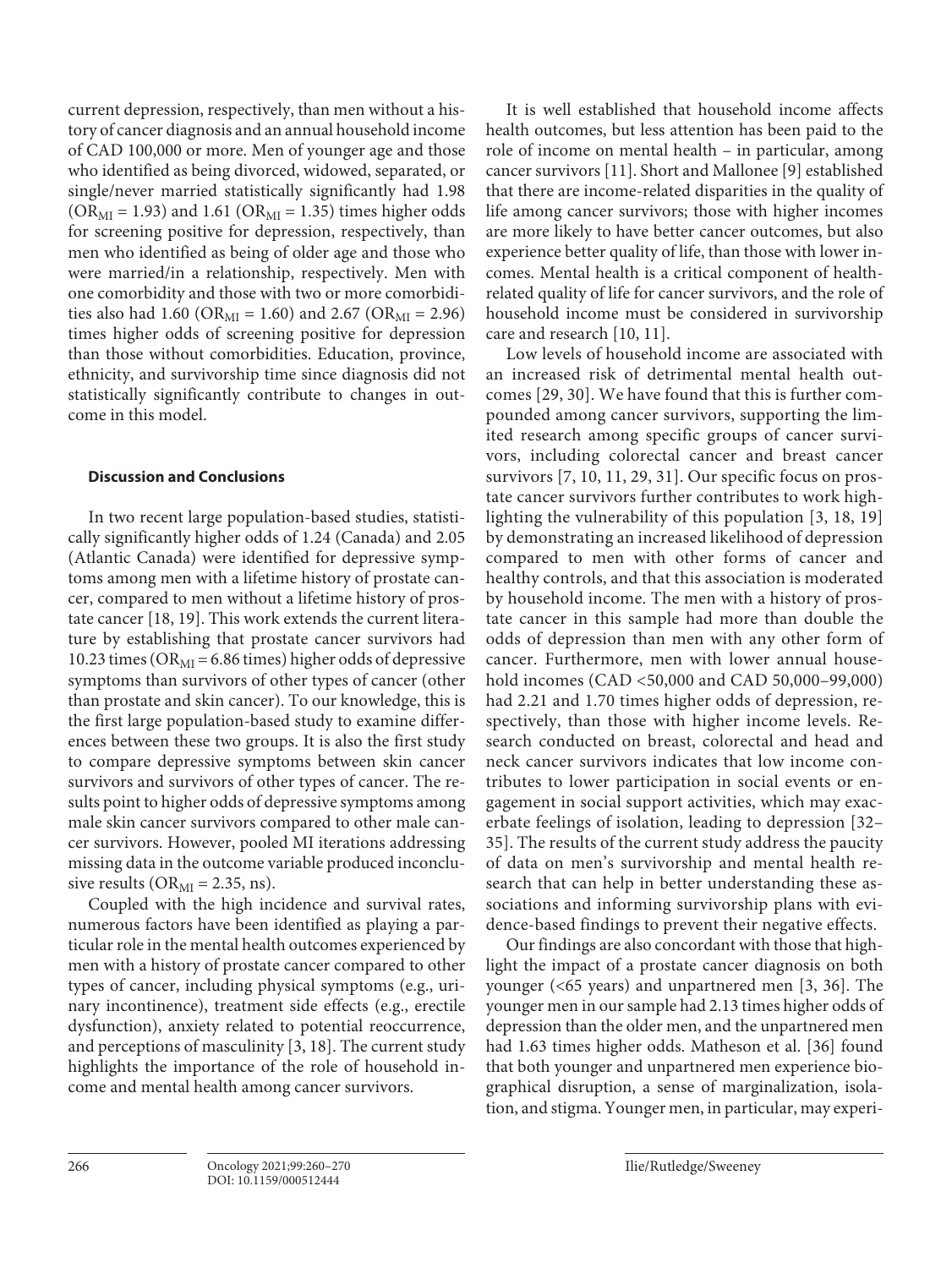current depression, respectively, than men without a history of cancer diagnosis and an annual household income of CAD 100,000 or more. Men of younger age and those who identified as being divorced, widowed, separated, or single/never married statistically significantly had 1.98  $(OR<sub>MI</sub> = 1.93)$  and 1.61 (OR<sub>MI</sub> = 1.35) times higher odds for screening positive for depression, respectively, than men who identified as being of older age and those who were married/in a relationship, respectively. Men with one comorbidity and those with two or more comorbidities also had 1.60 (OR<sub>MI</sub> = 1.60) and 2.67 (OR<sub>MI</sub> = 2.96) times higher odds of screening positive for depression than those without comorbidities. Education, province, ethnicity, and survivorship time since diagnosis did not statistically significantly contribute to changes in outcome in this model.

# **Discussion and Conclusions**

In two recent large population-based studies, statistically significantly higher odds of 1.24 (Canada) and 2.05 (Atlantic Canada) were identified for depressive symptoms among men with a lifetime history of prostate cancer, compared to men without a lifetime history of prostate cancer [\[1](#page-9-0)[8,](#page-9-8) [1](#page-9-0)[9\]](#page-9-5). This work extends the current literature by establishing that prostate cancer survivors had 10.23 times ( $OR_{MI} = 6.86$  times) higher odds of depressive symptoms than survivors of other types of cancer (other than prostate and skin cancer). To our knowledge, this is the first large population-based study to examine differences between these two groups. It is also the first study to compare depressive symptoms between skin cancer survivors and survivors of other types of cancer. The results point to higher odds of depressive symptoms among male skin cancer survivors compared to other male cancer survivors. However, pooled MI iterations addressing missing data in the outcome variable produced inconclusive results ( $OR_{MI} = 2.35$ , ns).

Coupled with the high incidence and survival rates, numerous factors have been identified as playing a particular role in the mental health outcomes experienced by men with a history of prostate cancer compared to other types of cancer, including physical symptoms (e.g., urinary incontinence), treatment side effects (e.g., erectile dysfunction), anxiety related to potential reoccurrence, and perceptions of masculinity [[3,](#page-9-6) [1](#page-9-0)[8](#page-9-8)]. The current study highlights the importance of the role of household income and mental health among cancer survivors.

It is well established that household income affects health outcomes, but less attention has been paid to the role of income on mental health – in particular, among cancer survivors [[11](#page-9-0)]. Short and Mallonee [[9](#page-9-5)] established that there are income-related disparities in the quality of life among cancer survivors; those with higher incomes are more likely to have better cancer outcomes, but also experience better quality of life, than those with lower incomes. Mental health is a critical component of healthrelated quality of life for cancer survivors, and the role of household income must be considered in survivorship care and research [\[1](#page-9-0)0, [11](#page-9-0)].

<span id="page-6-1"></span><span id="page-6-0"></span>Low levels of household income are associated with an increased risk of detrimental mental health outcomes [[2](#page-9-1)[9,](#page-9-5) [3](#page-9-6)0]. We have found that this is further compounded among cancer survivors, supporting the limited research among specific groups of cancer survivors, including colorectal cancer and breast cancer survivors [[7,](#page-9-4) [1](#page-9-0)0, [11,](#page-9-0) [2](#page-9-1)[9,](#page-9-5) [3](#page-9-6)[1](#page-9-0)]. Our specific focus on prostate cancer survivors further contributes to work highlighting the vulnerability of this population [\[3,](#page-9-6) [1](#page-9-0)[8](#page-9-8), [1](#page-9-0)[9\]](#page-9-5) by demonstrating an increased likelihood of depression compared to men with other forms of cancer and healthy controls, and that this association is moderated by household income. The men with a history of prostate cancer in this sample had more than double the odds of depression than men with any other form of cancer. Furthermore, men with lower annual household incomes (CAD <50,000 and CAD 50,000–99,000) had 2.21 and 1.70 times higher odds of depression, respectively, than those with higher income levels. Research conducted on breast, colorectal and head and neck cancer survivors indicates that low income contributes to lower participation in social events or engagement in social support activities, which may exacerbate feelings of isolation, leading to depression [\[3](#page-9-6)[2](#page-9-1)– [3](#page-9-6)[5\]](#page-9-2). The results of the current study address the paucity of data on men's survivorship and mental health research that can help in better understanding these associations and informing survivorship plans with evidence-based findings to prevent their negative effects.

<span id="page-6-3"></span><span id="page-6-2"></span>Our findings are also concordant with those that highlight the impact of a prostate cancer diagnosis on both younger (<65 years) and unpartnered men [[3](#page-9-6), [3](#page-9-6)[6\]](#page-9-3). The younger men in our sample had 2.13 times higher odds of depression than the older men, and the unpartnered men had 1.63 times higher odds. Matheson et al. [\[3](#page-9-6)[6](#page-9-3)] found that both younger and unpartnered men experience biographical disruption, a sense of marginalization, isolation, and stigma. Younger men, in particular, may experi-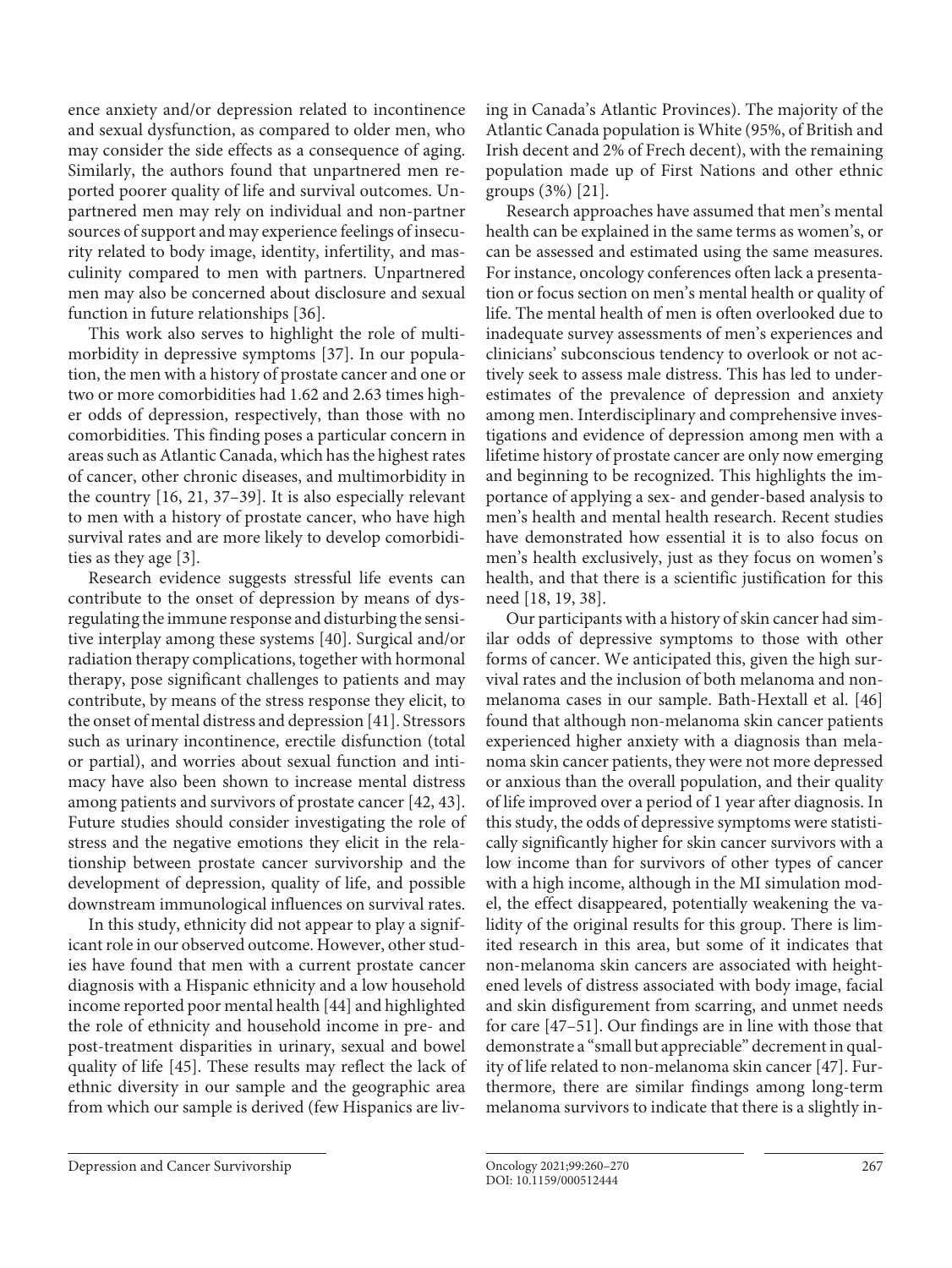ence anxiety and/or depression related to incontinence and sexual dysfunction, as compared to older men, who may consider the side effects as a consequence of aging. Similarly, the authors found that unpartnered men reported poorer quality of life and survival outcomes. Unpartnered men may rely on individual and non-partner sources of support and may experience feelings of insecurity related to body image, identity, infertility, and masculinity compared to men with partners. Unpartnered men may also be concerned about disclosure and sexual function in future relationships [[3](#page-9-6)[6\]](#page-9-3).

<span id="page-7-0"></span>This work also serves to highlight the role of multimorbidity in depressive symptoms [[3](#page-9-6)[7](#page-9-4)]. In our population, the men with a history of prostate cancer and one or two or more comorbidities had 1.62 and 2.63 times higher odds of depression, respectively, than those with no comorbidities. This finding poses a particular concern in areas such as Atlantic Canada, which has the highest rates of cancer, other chronic diseases, and multimorbidity in the country [\[1](#page-9-0)[6,](#page-9-3) [2](#page-9-1)[1,](#page-9-0) [3](#page-9-6)[7](#page-9-4)–[3](#page-9-6)[9](#page-9-5)]. It is also especially relevant to men with a history of prostate cancer, who have high survival rates and are more likely to develop comorbidities as they age [[3](#page-9-6)].

<span id="page-7-3"></span><span id="page-7-2"></span><span id="page-7-1"></span>Research evidence suggests stressful life events can contribute to the onset of depression by means of dysregulating the immune response and disturbing the sensitive interplay among these systems [\[40](#page-9-7)]. Surgical and/or radiation therapy complications, together with hormonal therapy, pose significant challenges to patients and may contribute, by means of the stress response they elicit, to the onset of mental distress and depression [\[4](#page-9-7)[1\]](#page-9-0). Stressors such as urinary incontinence, erectile disfunction (total or partial), and worries about sexual function and intimacy have also been shown to increase mental distress among patients and survivors of prostate cancer [\[4](#page-9-7)[2,](#page-9-1) [4](#page-9-7)[3\]](#page-9-6). Future studies should consider investigating the role of stress and the negative emotions they elicit in the relationship between prostate cancer survivorship and the development of depression, quality of life, and possible downstream immunological influences on survival rates.

<span id="page-7-5"></span><span id="page-7-4"></span>In this study, ethnicity did not appear to play a significant role in our observed outcome. However, other studies have found that men with a current prostate cancer diagnosis with a Hispanic ethnicity and a low household income reported poor mental health [[44\]](#page-9-7) and highlighted the role of ethnicity and household income in pre- and post-treatment disparities in urinary, sexual and bowel quality of life [\[4](#page-9-7)[5\]](#page-9-2). These results may reflect the lack of ethnic diversity in our sample and the geographic area from which our sample is derived (few Hispanics are living in Canada's Atlantic Provinces). The majority of the Atlantic Canada population is White (95%, of British and Irish decent and 2% of Frech decent), with the remaining population made up of First Nations and other ethnic groups (3%) [\[2](#page-9-1)[1](#page-9-0)].

Research approaches have assumed that men's mental health can be explained in the same terms as women's, or can be assessed and estimated using the same measures. For instance, oncology conferences often lack a presentation or focus section on men's mental health or quality of life. The mental health of men is often overlooked due to inadequate survey assessments of men's experiences and clinicians' subconscious tendency to overlook or not actively seek to assess male distress. This has led to underestimates of the prevalence of depression and anxiety among men. Interdisciplinary and comprehensive investigations and evidence of depression among men with a lifetime history of prostate cancer are only now emerging and beginning to be recognized. This highlights the importance of applying a sex- and gender-based analysis to men's health and mental health research. Recent studies have demonstrated how essential it is to also focus on men's health exclusively, just as they focus on women's health, and that there is a scientific justification for this need [\[1](#page-9-0)[8](#page-9-8), [1](#page-9-0)[9,](#page-9-5) [3](#page-9-6)[8](#page-9-8)].

Our participants with a history of skin cancer had similar odds of depressive symptoms to those with other forms of cancer. We anticipated this, given the high survival rates and the inclusion of both melanoma and nonmelanoma cases in our sample. Bath-Hextall et al. [\[4](#page-9-7)[6\]](#page-9-3) found that although non-melanoma skin cancer patients experienced higher anxiety with a diagnosis than melanoma skin cancer patients, they were not more depressed or anxious than the overall population, and their quality of life improved over a period of 1 year after diagnosis. In this study, the odds of depressive symptoms were statistically significantly higher for skin cancer survivors with a low income than for survivors of other types of cancer with a high income, although in the MI simulation model, the effect disappeared, potentially weakening the validity of the original results for this group. There is limited research in this area, but some of it indicates that non-melanoma skin cancers are associated with heightened levels of distress associated with body image, facial and skin disfigurement from scarring, and unmet needs for care [\[4](#page-9-7)[7–](#page-9-4)[5](#page-9-2)[1](#page-9-0)]. Our findings are in line with those that demonstrate a "small but appreciable" decrement in quality of life related to non-melanoma skin cancer [\[4](#page-9-7)[7\]](#page-9-4). Furthermore, there are similar findings among long-term melanoma survivors to indicate that there is a slightly in-

Depression and Cancer Survivorship Oncology 2021;99:260–270 267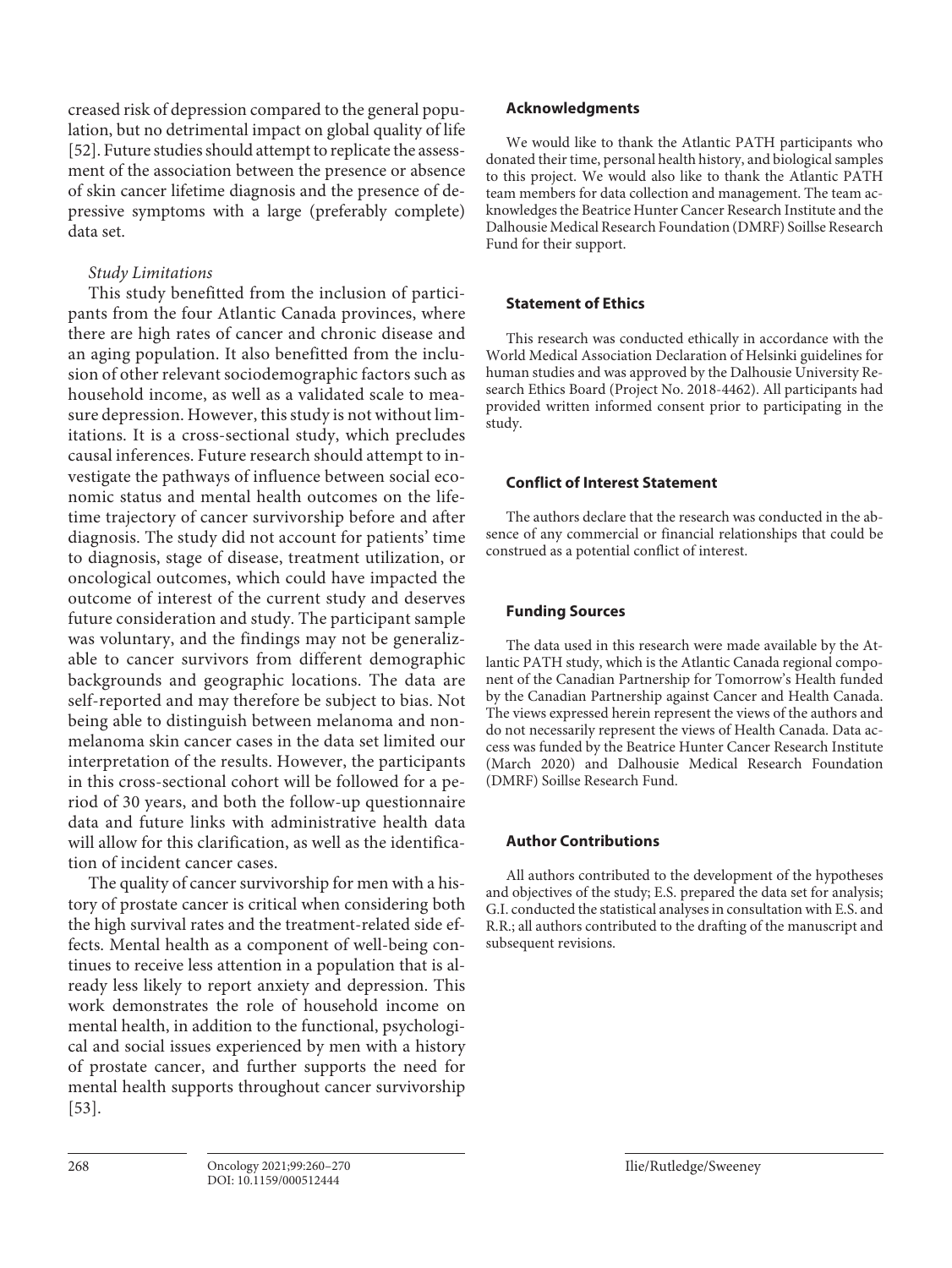creased risk of depression compared to the general population, but no detrimental impact on global quality of life [\[5](#page-9-2)[2\]](#page-9-1). Future studies should attempt to replicate the assessment of the association between the presence or absence of skin cancer lifetime diagnosis and the presence of depressive symptoms with a large (preferably complete) data set.

# *Study Limitations*

This study benefitted from the inclusion of participants from the four Atlantic Canada provinces, where there are high rates of cancer and chronic disease and an aging population. It also benefitted from the inclusion of other relevant sociodemographic factors such as household income, as well as a validated scale to measure depression. However, this study is not without limitations. It is a cross-sectional study, which precludes causal inferences. Future research should attempt to investigate the pathways of influence between social economic status and mental health outcomes on the lifetime trajectory of cancer survivorship before and after diagnosis. The study did not account for patients' time to diagnosis, stage of disease, treatment utilization, or oncological outcomes, which could have impacted the outcome of interest of the current study and deserves future consideration and study. The participant sample was voluntary, and the findings may not be generalizable to cancer survivors from different demographic backgrounds and geographic locations. The data are self-reported and may therefore be subject to bias. Not being able to distinguish between melanoma and nonmelanoma skin cancer cases in the data set limited our interpretation of the results. However, the participants in this cross-sectional cohort will be followed for a period of 30 years, and both the follow-up questionnaire data and future links with administrative health data will allow for this clarification, as well as the identification of incident cancer cases.

The quality of cancer survivorship for men with a history of prostate cancer is critical when considering both the high survival rates and the treatment-related side effects. Mental health as a component of well-being continues to receive less attention in a population that is already less likely to report anxiety and depression. This work demonstrates the role of household income on mental health, in addition to the functional, psychological and social issues experienced by men with a history of prostate cancer, and further supports the need for mental health supports throughout cancer survivorship [\[5](#page-9-2)[3](#page-9-6)].

# **Acknowledgments**

We would like to thank the Atlantic PATH participants who donated their time, personal health history, and biological samples to this project. We would also like to thank the Atlantic PATH team members for data collection and management. The team acknowledges the Beatrice Hunter Cancer Research Institute and the Dalhousie Medical Research Foundation (DMRF) Soillse Research Fund for their support.

# **Statement of Ethics**

This research was conducted ethically in accordance with the World Medical Association Declaration of Helsinki guidelines for human studies and was approved by the Dalhousie University Research Ethics Board (Project No. 2018-4462). All participants had provided written informed consent prior to participating in the study.

# **Conflict of Interest Statement**

The authors declare that the research was conducted in the absence of any commercial or financial relationships that could be construed as a potential conflict of interest.

# **Funding Sources**

The data used in this research were made available by the Atlantic PATH study, which is the Atlantic Canada regional component of the Canadian Partnership for Tomorrow's Health funded by the Canadian Partnership against Cancer and Health Canada. The views expressed herein represent the views of the authors and do not necessarily represent the views of Health Canada. Data access was funded by the Beatrice Hunter Cancer Research Institute (March 2020) and Dalhousie Medical Research Foundation (DMRF) Soillse Research Fund.

# **Author Contributions**

All authors contributed to the development of the hypotheses and objectives of the study; E.S. prepared the data set for analysis; G.I. conducted the statistical analyses in consultation with E.S. and R.R.; all authors contributed to the drafting of the manuscript and subsequent revisions.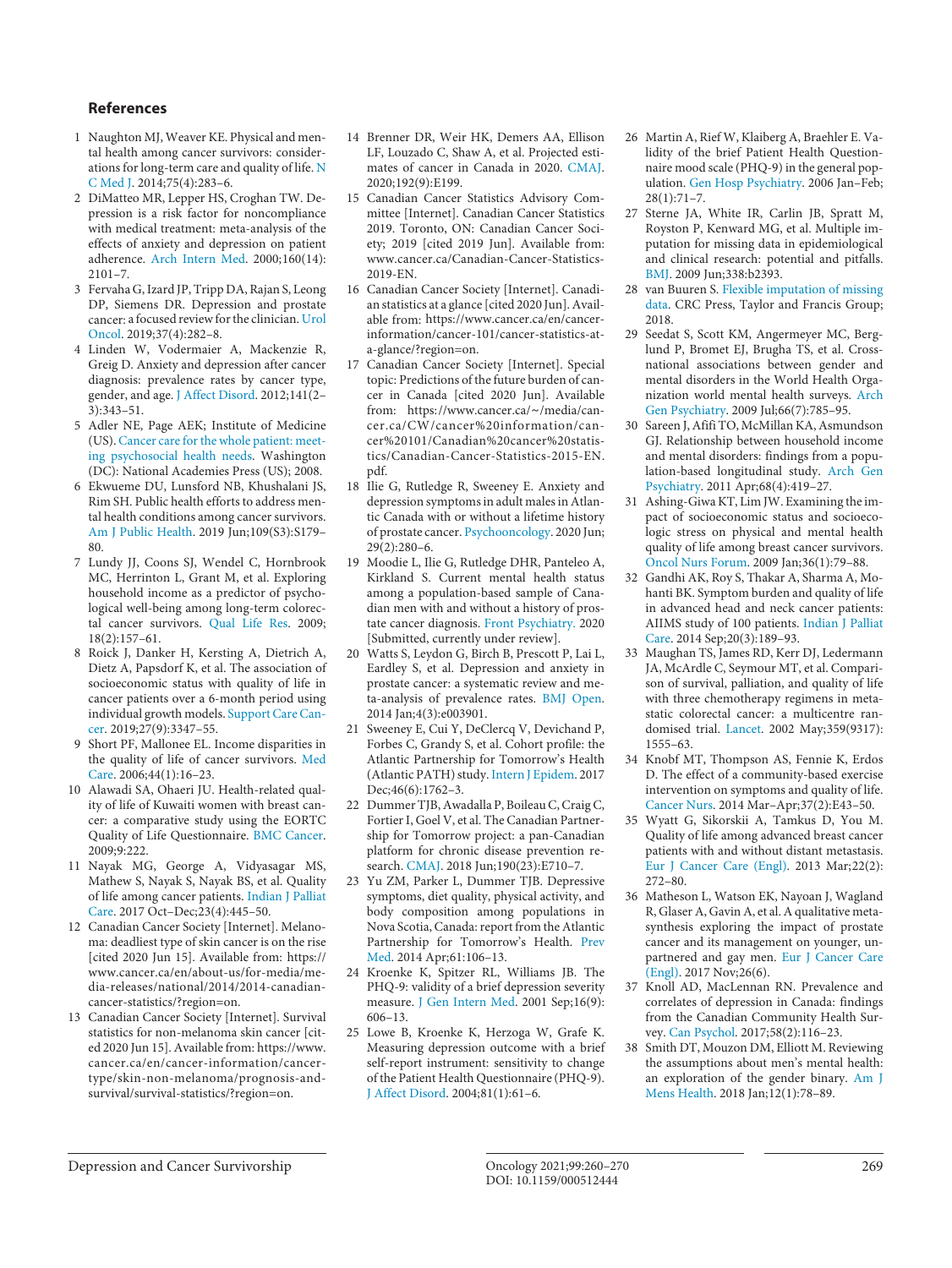### **References**

- <span id="page-9-0"></span>[1](#page-1-0) Naughton MJ, Weaver KE. Physical and mental health among cancer survivors: considerations for long-term care and quality of life. [N](https://www.karger.com/Article/FullText/512444?ref=1#ref1) [C Med J](https://www.karger.com/Article/FullText/512444?ref=1#ref1). 2014;75(4):283–6.
- <span id="page-9-1"></span>[2](#page-1-1) DiMatteo MR, Lepper HS, Croghan TW. Depression is a risk factor for noncompliance with medical treatment: meta-analysis of the effects of anxiety and depression on patient adherence. [Arch Intern Med.](https://www.karger.com/Article/FullText/512444?ref=2#ref2) 2000;160(14): 2101–7.
- <span id="page-9-6"></span>[3](#page-1-1) Fervaha G, Izard JP, Tripp DA, Rajan S, Leong DP, Siemens DR. Depression and prostate cancer: a focused review for the clinician. [Urol](https://www.karger.com/Article/FullText/512444?ref=3#ref3) [Oncol.](https://www.karger.com/Article/FullText/512444?ref=3#ref3) 2019;37(4):282–8.
- <span id="page-9-7"></span>[4](#page-1-1) Linden W, Vodermaier A, Mackenzie R, Greig D. Anxiety and depression after cancer diagnosis: prevalence rates by cancer type, gender, and age. [J Affect Disord.](https://www.karger.com/Article/FullText/512444?ref=4#ref4) 2012;141(2– 3):343–51.
- <span id="page-9-2"></span>[5](#page-1-1) Adler NE, Page AEK; Institute of Medicine (US). Cancer care for the whole patient: [meet](https://www.karger.com/Article/FullText/512444?ref=5#ref5)[ing psychosocial health needs.](https://www.karger.com/Article/FullText/512444?ref=5#ref5) Washington (DC): National Academies Press (US); 2008.
- <span id="page-9-3"></span>[6](#page-1-2) Ekwueme DU, Lunsford NB, Khushalani JS, Rim SH. Public health efforts to address mental health conditions among cancer survivors. [Am J Public Health.](https://www.karger.com/Article/FullText/512444?ref=6#ref6) 2019 Jun;109(S3):S179– 80.
- <span id="page-9-4"></span>[7](#page-1-3) Lundy JJ, Coons SJ, Wendel C, Hornbrook MC, Herrinton L, Grant M, et al. Exploring household income as a predictor of psychological well-being among long-term colorectal cancer survivors. [Qual Life Res](https://www.karger.com/Article/FullText/512444?ref=7#ref7). 2009; 18(2):157–61.
- <span id="page-9-8"></span>[8](#page-1-3) Roick J, Danker H, Kersting A, Dietrich A, Dietz A, Papsdorf K, et al. The association of socioeconomic status with quality of life in cancer patients over a 6-month period using individual growth models. [Support Care Can](https://www.karger.com/Article/FullText/512444?ref=8#ref8)[cer](https://www.karger.com/Article/FullText/512444?ref=8#ref8). 2019;27(9):3347–55.
- <span id="page-9-5"></span>[9](#page-1-3) Short PF, Mallonee EL. Income disparities in the quality of life of cancer survivors. [Med](https://www.karger.com/Article/FullText/512444?ref=9#ref9) [Care.](https://www.karger.com/Article/FullText/512444?ref=9#ref9) 2006;44(1):16–23.
- [10](#page-1-4) Alawadi SA, Ohaeri JU. Health-related quality of life of Kuwaiti women with breast cancer: a comparative study using the EORTC Quality of Life Questionnaire. [BMC Cancer](https://www.karger.com/Article/FullText/512444?ref=10#ref10). 2009;9:222.
- [11](#page-1-5) Nayak MG, George A, Vidyasagar MS, Mathew S, Nayak S, Nayak BS, et al. Quality of life among cancer patients. [Indian J Palliat](https://www.karger.com/Article/FullText/512444?ref=11#ref11) [Care.](https://www.karger.com/Article/FullText/512444?ref=11#ref11) 2017 Oct–Dec;23(4):445–50.
- [12](#page-1-6) Canadian Cancer Society [Internet]. Melanoma: deadliest type of skin cancer is on the rise [cited 2020 Jun 15]. Available from: https:// www.cancer.ca/en/about-us/for-media/media-releases/national/2014/2014-canadiancancer-statistics/?region=on.
- [13](#page-1-6) Canadian Cancer Society [Internet]. Survival statistics for non-melanoma skin cancer [cited 2020 Jun 15]. Available from: https://www. cancer.ca/en/cancer-information/cancertype/skin-non-melanoma/prognosis-andsurvival/survival-statistics/?region=on.
- [14](#page-1-7) Brenner DR, Weir HK, Demers AA, Ellison LF, Louzado C, Shaw A, et al. Projected estimates of cancer in Canada in 2020. [CMAJ.](https://www.karger.com/Article/FullText/512444?ref=14#ref14) 2020;192(9):E199.
- [15](#page-1-7) Canadian Cancer Statistics Advisory Committee [Internet]. Canadian Cancer Statistics 2019. Toronto, ON: Canadian Cancer Society; 2019 [cited 2019 Jun]. Available from: www.cancer.ca/Canadian-Cancer-Statistics-2019-EN.
- [16](#page-1-8) Canadian Cancer Society [Internet]. Canadian statistics at a glance [cited 2020 Jun]. Available from: https://www.cancer.ca/en/cancerinformation/cancer-101/cancer-statistics-ata-glance/?region=on.
- [17](#page-1-9) Canadian Cancer Society [Internet]. Special topic: Predictions of the future burden of cancer in Canada [cited 2020 Jun]. Available from: https://www.cancer.ca/∼/media/cancer.ca/CW/cancer%20information/cancer%20101/Canadian%20cancer%20statistics/Canadian-Cancer-Statistics-2015-EN. pdf.
- [18](#page-1-10) Ilie G, Rutledge R, Sweeney E. Anxiety and depression symptoms in adult males in Atlantic Canada with or without a lifetime history of prostate cancer. [Psychooncology.](https://www.karger.com/Article/FullText/512444?ref=18#ref18) 2020 Jun; 29(2):280–6.
- [19](#page-1-10) Moodie L, Ilie G, Rutledge DHR, Panteleo A, Kirkland S. Current mental health status among a population-based sample of Canadian men with and without a history of prostate cancer diagnosis. [Front Psychiatry.](https://www.karger.com/Article/FullText/512444?ref=19#ref19) 2020 [Submitted, currently under review].
- [20](#page-1-10) Watts S, Leydon G, Birch B, Prescott P, Lai L, Eardley S, et al. Depression and anxiety in prostate cancer: a systematic review and meta-analysis of prevalence rates. [BMJ Open.](https://www.karger.com/Article/FullText/512444?ref=20#ref20) 2014 Jan;4(3):e003901.
- [21](#page-1-11) Sweeney E, Cui Y, DeClercq V, Devichand P, Forbes C, Grandy S, et al. Cohort profile: the Atlantic Partnership for Tomorrow's Health (Atlantic PATH) study. [Intern J Epidem](https://www.karger.com/Article/FullText/512444?ref=21#ref21). 2017 Dec;46(6):1762-3.
- [22](#page-1-12) Dummer TJB, Awadalla P, Boileau C, Craig C, Fortier I, Goel V, et al. The Canadian Partnership for Tomorrow project: a pan-Canadian platform for chronic disease prevention research. [CMAJ.](https://www.karger.com/Article/FullText/512444?ref=22#ref22) 2018 Jun;190(23):E710–7.
- [23](#page-1-13) Yu ZM, Parker L, Dummer TJB. Depressive symptoms, diet quality, physical activity, and body composition among populations in Nova Scotia, Canada: report from the Atlantic Partnership for Tomorrow's Health. [Prev](https://www.karger.com/Article/FullText/512444?ref=23#ref23) [Med.](https://www.karger.com/Article/FullText/512444?ref=23#ref23) 2014 Apr;61:106–13.
- [24](#page-2-0) Kroenke K, Spitzer RL, Williams JB. The PHQ-9: validity of a brief depression severity measure. [J Gen Intern Med](https://www.karger.com/Article/FullText/512444?ref=24#ref24). 2001 Sep;16(9): 606–13.
- [25](#page-2-1) Lowe B, Kroenke K, Herzoga W, Grafe K. Measuring depression outcome with a brief self-report instrument: sensitivity to change of the Patient Health Questionnaire (PHQ-9). [J Affect Disord](https://www.karger.com/Article/FullText/512444?ref=25#ref25). 2004;81(1):61–6.
- [26](#page-2-1) Martin A, Rief W, Klaiberg A, Braehler E. Validity of the brief Patient Health Questionnaire mood scale (PHQ-9) in the general population. [Gen Hosp Psychiatry.](https://www.karger.com/Article/FullText/512444?ref=26#ref26) 2006 Jan–Feb; 28(1):71–7.
- [27](#page-2-2) Sterne JA, White IR, Carlin JB, Spratt M, Royston P, Kenward MG, et al. Multiple imputation for missing data in epidemiological and clinical research: potential and pitfalls. [BMJ.](https://www.karger.com/Article/FullText/512444?ref=27#ref27) 2009 Jun;338:b2393.
- [28](#page-2-3) van Buuren S. [Flexible imputation of missing](https://www.karger.com/Article/FullText/512444?ref=28#ref28)  [data](https://www.karger.com/Article/FullText/512444?ref=28#ref28). CRC Press, Taylor and Francis Group; 2018.
- [29](#page-6-0) Seedat S, Scott KM, Angermeyer MC, Berglund P, Bromet EJ, Brugha TS, et al. Crossnational associations between gender and mental disorders in the World Health Organization world mental health surveys. [Arch](https://www.karger.com/Article/FullText/512444?ref=29#ref29)  [Gen Psychiatry](https://www.karger.com/Article/FullText/512444?ref=29#ref29). 2009 Jul;66(7):785–95.
- [30](#page-6-0) Sareen J, Afifi TO, McMillan KA, Asmundson GJ. Relationship between household income and mental disorders: findings from a population-based longitudinal study. [Arch Gen](https://www.karger.com/Article/FullText/512444?ref=30#ref30)  [Psychiatry](https://www.karger.com/Article/FullText/512444?ref=30#ref30). 2011 Apr;68(4):419–27.
- [31](#page-6-1) Ashing-Giwa KT, Lim JW. Examining the impact of socioeconomic status and socioecologic stress on physical and mental health quality of life among breast cancer survivors. [Oncol Nurs Forum.](https://www.karger.com/Article/FullText/512444?ref=31#ref31) 2009 Jan;36(1):79–88.
- [32](#page-6-2) Gandhi AK, Roy S, Thakar A, Sharma A, Mohanti BK. Symptom burden and quality of life in advanced head and neck cancer patients: AIIMS study of 100 patients. [Indian J Palliat](https://www.karger.com/Article/FullText/512444?ref=32#ref32)  [Care.](https://www.karger.com/Article/FullText/512444?ref=32#ref32) 2014 Sep;20(3):189–93.
- [33](#page-6-2) Maughan TS, James RD, Kerr DJ, Ledermann JA, McArdle C, Seymour MT, et al. Comparison of survival, palliation, and quality of life with three chemotherapy regimens in metastatic colorectal cancer: a multicentre randomised trial. [Lancet](https://www.karger.com/Article/FullText/512444?ref=33#ref33). 2002 May;359(9317): 1555–63.
- [34](#page-6-2) Knobf MT, Thompson AS, Fennie K, Erdos D. The effect of a community-based exercise intervention on symptoms and quality of life. [Cancer Nurs](https://www.karger.com/Article/FullText/512444?ref=34#ref34). 2014 Mar–Apr;37(2):E43–50.
- [35](#page-6-2) Wyatt G, Sikorskii A, Tamkus D, You M. Quality of life among advanced breast cancer patients with and without distant metastasis. [Eur J Cancer Care \(Engl\)](https://www.karger.com/Article/FullText/512444?ref=35#ref35). 2013 Mar;22(2): 272–80.
- [36](#page-6-3) Matheson L, Watson EK, Nayoan J, Wagland R, Glaser A, Gavin A, et al. A qualitative metasynthesis exploring the impact of prostate cancer and its management on younger, unpartnered and gay men. [Eur J Cancer Care](https://www.karger.com/Article/FullText/512444?ref=36#ref36)  [\(Engl\).](https://www.karger.com/Article/FullText/512444?ref=36#ref36) 2017 Nov;26(6).
- [37](#page-7-0) Knoll AD, MacLennan RN. Prevalence and correlates of depression in Canada: findings from the Canadian Community Health Survey. [Can Psychol.](https://www.karger.com/Article/FullText/512444?ref=37#ref37) 2017;58(2):116–23.
- [38](#page-7-1) Smith DT, Mouzon DM, Elliott M. Reviewing the assumptions about men's mental health: an exploration of the gender binary. [Am J](https://www.karger.com/Article/FullText/512444?ref=38#ref38)  [Mens Health.](https://www.karger.com/Article/FullText/512444?ref=38#ref38) 2018 Jan;12(1):78–89.